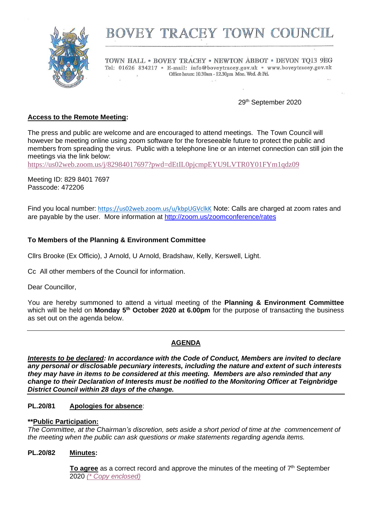

# BOVEY TRACEY TOWN COUNCIL

TOWN HALL . BOVEY TRACEY . NEWTON ABBOT . DEVON TO13 9EG Tel: 01626 834217 · E-mail: info@boveytracey.gov.uk · www.boveytracey.gov.uk Office hours: 10.30am - 12.30pm Mon. Wed. & Fri.  $\mathcal{L}$ 

29th September 2020

# **Access to the Remote Meeting:**

The press and public are welcome and are encouraged to attend meetings. The Town Council will however be meeting online using zoom software for the foreseeable future to protect the public and members from spreading the virus. Public with a telephone line or an internet connection can still join the meetings via the link below:

<https://us02web.zoom.us/j/82984017697?pwd=dEtIL0pjcmpEYU9LVTR0Y01FYm1qdz09>

Meeting ID: 829 8401 7697 Passcode: 472206

Find you local number: <https://us02web.zoom.us/u/kbpUGVclkK> Note: Calls are charged at zoom rates and are payable by the user. More information at <http://zoom.us/zoomconference/rates>

## **To Members of the Planning & Environment Committee**

Cllrs Brooke (Ex Officio), J Arnold, U Arnold, Bradshaw, Kelly, Kerswell, Light.

Cc All other members of the Council for information.

Dear Councillor,

You are hereby summoned to attend a virtual meeting of the **Planning & Environment Committee** which will be held on Monday 5<sup>th</sup> October 2020 at 6.00pm for the purpose of transacting the business as set out on the agenda below.

## **AGENDA**

*Interests to be declared: In accordance with the Code of Conduct, Members are invited to declare any personal or disclosable pecuniary interests, including the nature and extent of such interests they may have in items to be considered at this meeting. Members are also reminded that any change to their Declaration of Interests must be notified to the Monitoring Officer at Teignbridge District Council within 28 days of the change.*

## **PL.20/81 Apologies for absence**:

## **\*\*Public Participation:**

*The Committee, at the Chairman's discretion, sets aside a short period of time at the commencement of the meeting when the public can ask questions or make statements regarding agenda items.*

#### **PL.20/82 Minutes:**

To agree as a correct record and approve the minutes of the meeting of 7<sup>th</sup> September 2020 *[\(\\* Copy enclosed\)](https://www.dropbox.com/s/5hl6d06n9blp94f/05.10.20%20-%20Plan%20Comm%20mtg%20Minutes%207.9.20.doc?dl=0)*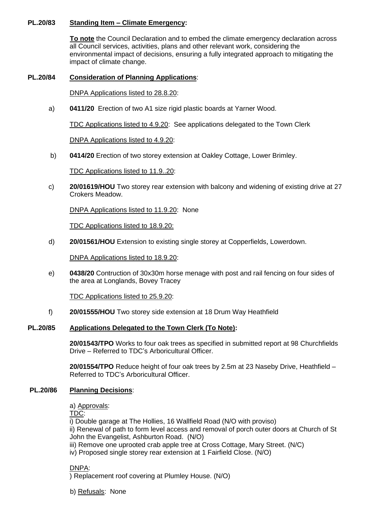## **PL.20/83 Standing Item – Climate Emergency:**

**To note** the Council Declaration and to embed the climate emergency declaration across all Council services, activities, plans and other relevant work, considering the environmental impact of decisions, ensuring a fully integrated approach to mitigating the impact of climate change.

#### **PL.20/84 Consideration of Planning Applications**:

DNPA Applications listed to 28.8.20:

a) **0411/20** Erection of two A1 size rigid plastic boards at Yarner Wood.

TDC Applications listed to 4.9.20: See applications delegated to the Town Clerk

DNPA Applications listed to 4.9.20:

b) **0414/20** Erection of two storey extension at Oakley Cottage, Lower Brimley.

TDC Applications listed to 11.9..20:

c) **20/01619/HOU** Two storey rear extension with balcony and widening of existing drive at 27 Crokers Meadow.

DNPA Applications listed to 11.9.20: None

TDC Applications listed to 18.9.20:

d) **20/01561/HOU** Extension to existing single storey at Copperfields, Lowerdown.

DNPA Applications listed to 18.9.20:

e) **0438/20** Contruction of 30x30m horse menage with post and rail fencing on four sides of the area at Longlands, Bovey Tracey

TDC Applications listed to 25.9.20:

f) **20/01555/HOU** Two storey side extension at 18 Drum Way Heathfield

#### **PL.20/85 Applications Delegated to the Town Clerk (To Note):**

**20/01543/TPO** Works to four oak trees as specified in submitted report at 98 Churchfields Drive – Referred to TDC's Arboricultural Officer.

**20/01554/TPO** Reduce height of four oak trees by 2.5m at 23 Naseby Drive, Heathfield – Referred to TDC's Arboricultural Officer.

#### **PL.20/86 Planning Decisions**:

a) Approvals:

TDC:

i) Double garage at The Hollies, 16 Wallfield Road (N/O with proviso)

ii) Renewal of path to form level access and removal of porch outer doors at Church of St John the Evangelist, Ashburton Road. (N/O)

- iii) Remove one uprooted crab apple tree at Cross Cottage, Mary Street. (N/C)
- iv) Proposed single storey rear extension at 1 Fairfield Close. (N/O)

DNPA:

) Replacement roof covering at Plumley House. (N/O)

b) Refusals: None